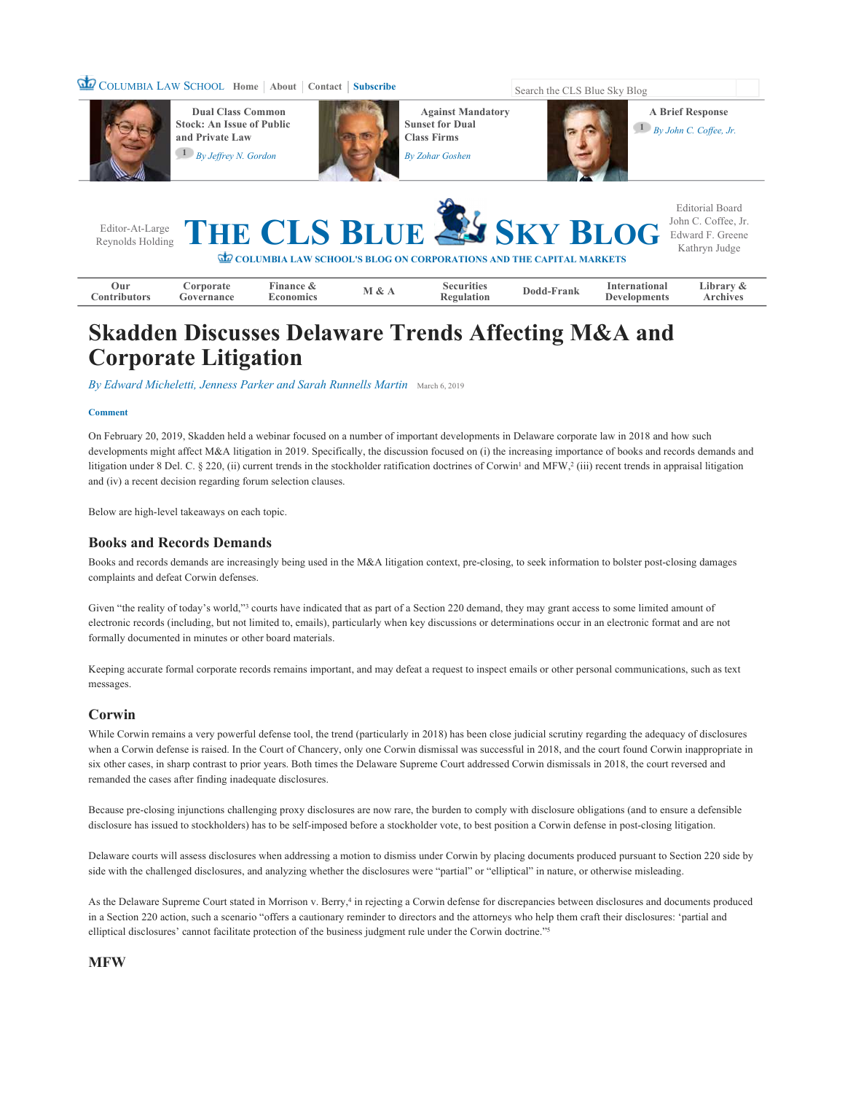# **COLUMBIA LAW SCHOOL Home** | **About** | **Contact** | **Subscribe** Search the CLS Blue Sky Blog



**Dual Class Common Stock: An Issue of Public and Private Law 1** *By Jeffrey N. Gordon*



**Against Mandatory Sunset for Dual Class Firms Zohar Gosher** 



**A Brief Response** 

|                                                                           |  |  |  |  |  | Editor-At-Large THE CLS BLUE SKY BLOG Edward F. Greene | Editorial Board<br>Kathryn Judge |
|---------------------------------------------------------------------------|--|--|--|--|--|--------------------------------------------------------|----------------------------------|
| <b>COLUMBIA LAW SCHOOL'S BLOG ON CORPORATIONS AND THE CAPITAL MARKETS</b> |  |  |  |  |  |                                                        |                                  |

| --<br>Uur<br>tional<br>∟ıbrar<br><b>Inance</b><br>mtern<br>Securities<br><b>Properties</b><br>&<br>†rank<br>Jod<br>Archives<br>tributors<br>ulatior<br>conomics<br>ernance<br>ment.<br>.on‡<br>۱۵۱ م<br>тО |  |
|------------------------------------------------------------------------------------------------------------------------------------------------------------------------------------------------------------|--|
|------------------------------------------------------------------------------------------------------------------------------------------------------------------------------------------------------------|--|

# **Skadden Discusses Delaware Trends Affecting M&A and Corporate Litigation**

*By Edward Micheletti, Jenness Parker and Sarah Runnells Martin* March 6, 2019

#### **Comment**

On February 20, 2019, Skadden held a webinar focused on a number of important developments in Delaware corporate law in 2018 and how such developments might affect M&A litigation in 2019. Specifically, the discussion focused on (i) the increasing importance of books and records demands and litigation under 8 Del. C. § 220, (ii) current trends in the stockholder ratification doctrines of Corwin<sup>1</sup> and MFW,<sup>2</sup> (iii) recent trends in appraisal litigation and (iv) a recent decision regarding forum selection clauses.

Below are high-level takeaways on each topic.

# **Books and Records Demands**

Books and records demands are increasingly being used in the M&A litigation context, pre-closing, to seek information to bolster post-closing damages complaints and defeat Corwin defenses.

Given "the reality of today's world,"<sup>3</sup> courts have indicated that as part of a Section 220 demand, they may grant access to some limited amount of electronic records (including, but not limited to, emails), particularly when key discussions or determinations occur in an electronic format and are not formally documented in minutes or other board materials.

Keeping accurate formal corporate records remains important, and may defeat a request to inspect emails or other personal communications, such as text messages.

# **Corwin**

While Corwin remains a very powerful defense tool, the trend (particularly in 2018) has been close judicial scrutiny regarding the adequacy of disclosures when a Corwin defense is raised. In the Court of Chancery, only one Corwin dismissal was successful in 2018, and the court found Corwin inappropriate in six other cases, in sharp contrast to prior years. Both times the Delaware Supreme Court addressed Corwin dismissals in 2018, the court reversed and remanded the cases after finding inadequate disclosures.

Because pre-closing injunctions challenging proxy disclosures are now rare, the burden to comply with disclosure obligations (and to ensure a defensible disclosure has issued to stockholders) has to be self-imposed before a stockholder vote, to best position a Corwin defense in post-closing litigation.

Delaware courts will assess disclosures when addressing a motion to dismiss under Corwin by placing documents produced pursuant to Section 220 side by side with the challenged disclosures, and analyzing whether the disclosures were "partial" or "elliptical" in nature, or otherwise misleading.

As the Delaware Supreme Court stated in Morrison v. Berry,<sup>4</sup> in rejecting a Corwin defense for discrepancies between disclosures and documents produced in a Section 220 action, such a scenario "offers a cautionary reminder to directors and the attorneys who help them craft their disclosures: 'partial and elliptical disclosures' cannot facilitate protection of the business judgment rule under the Corwin doctrine."<sup>5</sup>

## **MFW**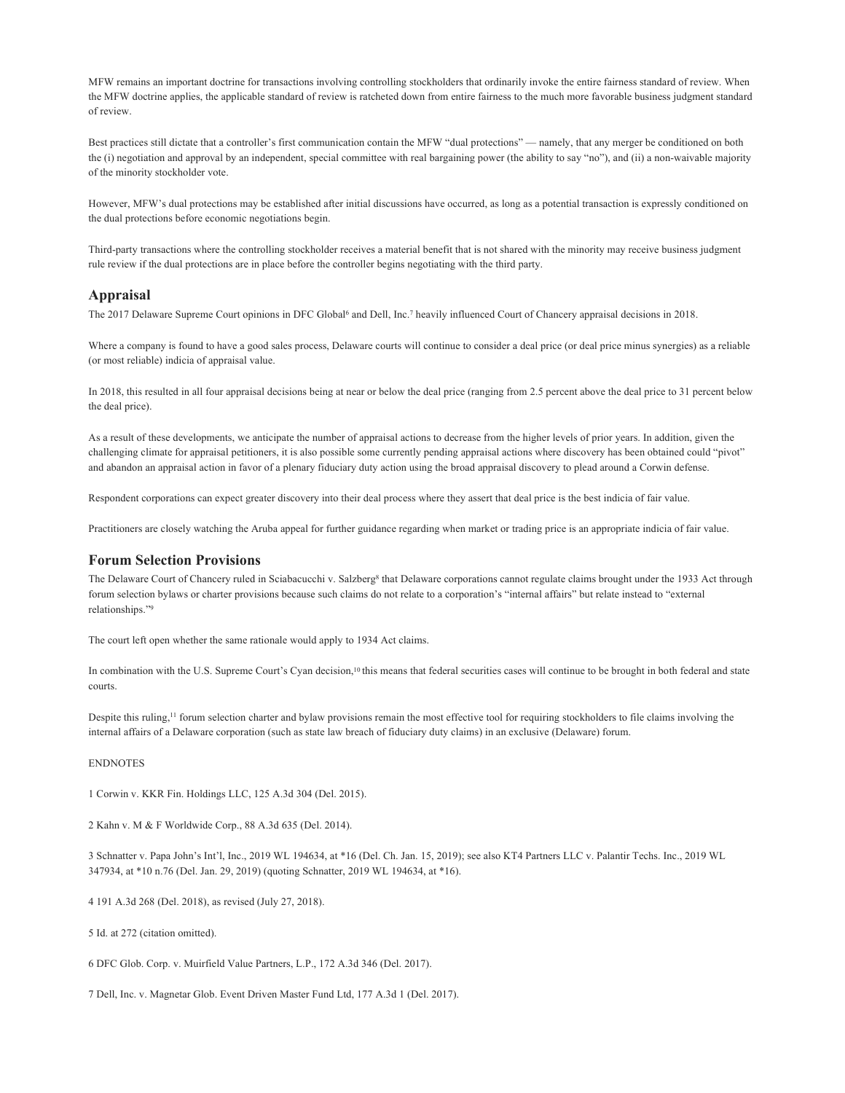MFW remains an important doctrine for transactions involving controlling stockholders that ordinarily invoke the entire fairness standard of review. When the MFW doctrine applies, the applicable standard of review is ratcheted down from entire fairness to the much more favorable business judgment standard of review.

Best practices still dictate that a controller's first communication contain the MFW "dual protections" — namely, that any merger be conditioned on both the (i) negotiation and approval by an independent, special committee with real bargaining power (the ability to say "no"), and (ii) a non-waivable majority of the minority stockholder vote.

However, MFW's dual protections may be established after initial discussions have occurred, as long as a potential transaction is expressly conditioned on the dual protections before economic negotiations begin.

Third-party transactions where the controlling stockholder receives a material benefit that is not shared with the minority may receive business judgment rule review if the dual protections are in place before the controller begins negotiating with the third party.

#### **Appraisal**

The 2017 Delaware Supreme Court opinions in DFC Global<sup>6</sup> and Dell, Inc.<sup>7</sup> heavily influenced Court of Chancery appraisal decisions in 2018.

Where a company is found to have a good sales process, Delaware courts will continue to consider a deal price (or deal price minus synergies) as a reliable (or most reliable) indicia of appraisal value.

In 2018, this resulted in all four appraisal decisions being at near or below the deal price (ranging from 2.5 percent above the deal price to 31 percent below the deal price).

As a result of these developments, we anticipate the number of appraisal actions to decrease from the higher levels of prior years. In addition, given the challenging climate for appraisal petitioners, it is also possible some currently pending appraisal actions where discovery has been obtained could "pivot" and abandon an appraisal action in favor of a plenary fiduciary duty action using the broad appraisal discovery to plead around a Corwin defense.

Respondent corporations can expect greater discovery into their deal process where they assert that deal price is the best indicia of fair value.

Practitioners are closely watching the Aruba appeal for further guidance regarding when market or trading price is an appropriate indicia of fair value.

#### **Forum Selection Provisions**

The Delaware Court of Chancery ruled in Sciabacucchi v. Salzberg<sup>8</sup> that Delaware corporations cannot regulate claims brought under the 1933 Act through forum selection bylaws or charter provisions because such claims do not relate to a corporation's "internal affairs" but relate instead to "external relationships." 9

The court left open whether the same rationale would apply to 1934 Act claims.

In combination with the U.S. Supreme Court's Cyan decision,<sup>10</sup> this means that federal securities cases will continue to be brought in both federal and state courts.

Despite this ruling,<sup> $11$ </sup> forum selection charter and bylaw provisions remain the most effective tool for requiring stockholders to file claims involving the internal affairs of a Delaware corporation (such as state law breach of fiduciary duty claims) in an exclusive (Delaware) forum.

#### ENDNOTES

1 Corwin v. KKR Fin. Holdings LLC, 125 A.3d 304 (Del. 2015).

2 Kahn v. M & F Worldwide Corp., 88 A.3d 635 (Del. 2014).

3 Schnatter v. Papa John's Int'l, Inc., 2019 WL 194634, at \*16 (Del. Ch. Jan. 15, 2019); see also KT4 Partners LLC v. Palantir Techs. Inc., 2019 WL 347934, at \*10 n.76 (Del. Jan. 29, 2019) (quoting Schnatter, 2019 WL 194634, at \*16).

4 191 A.3d 268 (Del. 2018), as revised (July 27, 2018).

5 Id. at 272 (citation omitted).

6 DFC Glob. Corp. v. Muirfield Value Partners, L.P., 172 A.3d 346 (Del. 2017).

7 Dell, Inc. v. Magnetar Glob. Event Driven Master Fund Ltd, 177 A.3d 1 (Del. 2017).